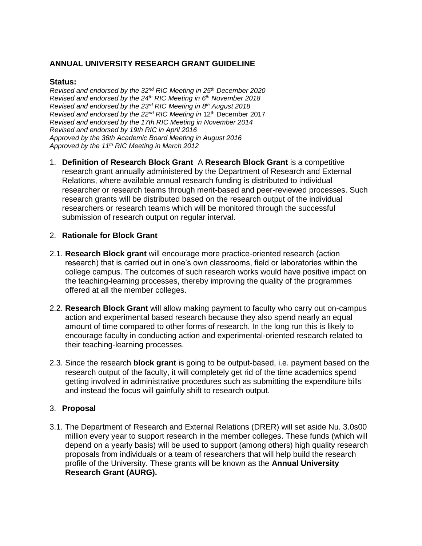# **ANNUAL UNIVERSITY RESEARCH GRANT GUIDELINE**

### **Status:**

*Revised and endorsed by the 32nd RIC Meeting in 25th December 2020 Revised and endorsed by the 24th RIC Meeting in 6 th November 2018 Revised and endorsed by the 23rd RIC Meeting in 8 th August 2018 Revised and endorsed by the 22nd RIC Meeting in* 12th December 2017 *Revised and endorsed by the 17th RIC Meeting in November 2014 Revised and endorsed by 19th RIC in April 2016 Approved by the 36th Academic Board Meeting in August 2016 Approved by the 11th RIC Meeting in March 2012* 

1. **Definition of Research Block Grant** A **Research Block Grant** is a competitive research grant annually administered by the Department of Research and External Relations, where available annual research funding is distributed to individual researcher or research teams through merit-based and peer-reviewed processes. Such research grants will be distributed based on the research output of the individual researchers or research teams which will be monitored through the successful submission of research output on regular interval.

### 2. **Rationale for Block Grant**

- 2.1. **Research Block grant** will encourage more practice-oriented research (action research) that is carried out in one's own classrooms, field or laboratories within the college campus. The outcomes of such research works would have positive impact on the teaching-learning processes, thereby improving the quality of the programmes offered at all the member colleges.
- 2.2. **Research Block Grant** will allow making payment to faculty who carry out on-campus action and experimental based research because they also spend nearly an equal amount of time compared to other forms of research. In the long run this is likely to encourage faculty in conducting action and experimental-oriented research related to their teaching-learning processes.
- 2.3. Since the research **block grant** is going to be output-based, i.e. payment based on the research output of the faculty, it will completely get rid of the time academics spend getting involved in administrative procedures such as submitting the expenditure bills and instead the focus will gainfully shift to research output.

### 3. **Proposal**

3.1. The Department of Research and External Relations (DRER) will set aside Nu. 3.0s00 million every year to support research in the member colleges. These funds (which will depend on a yearly basis) will be used to support (among others) high quality research proposals from individuals or a team of researchers that will help build the research profile of the University. These grants will be known as the **Annual University Research Grant (AURG).**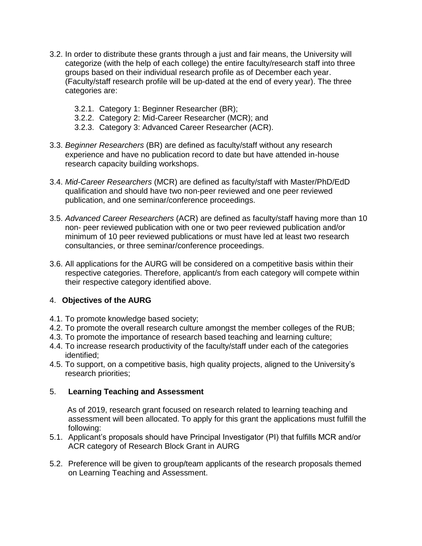- 3.2. In order to distribute these grants through a just and fair means, the University will categorize (with the help of each college) the entire faculty/research staff into three groups based on their individual research profile as of December each year. (Faculty/staff research profile will be up-dated at the end of every year). The three categories are:
	- 3.2.1. Category 1: Beginner Researcher (BR);
	- 3.2.2. Category 2: Mid-Career Researcher (MCR); and
	- 3.2.3. Category 3: Advanced Career Researcher (ACR).
- 3.3. *Beginner Researchers* (BR) are defined as faculty/staff without any research experience and have no publication record to date but have attended in-house research capacity building workshops.
- 3.4. *Mid-Career Researchers* (MCR) are defined as faculty/staff with Master/PhD/EdD qualification and should have two non-peer reviewed and one peer reviewed publication, and one seminar/conference proceedings.
- 3.5. *Advanced Career Researchers* (ACR) are defined as faculty/staff having more than 10 non- peer reviewed publication with one or two peer reviewed publication and/or minimum of 10 peer reviewed publications or must have led at least two research consultancies, or three seminar/conference proceedings.
- 3.6. All applications for the AURG will be considered on a competitive basis within their respective categories. Therefore, applicant/s from each category will compete within their respective category identified above.

# 4. **Objectives of the AURG**

- 4.1. To promote knowledge based society;
- 4.2. To promote the overall research culture amongst the member colleges of the RUB;
- 4.3. To promote the importance of research based teaching and learning culture;
- 4.4. To increase research productivity of the faculty/staff under each of the categories identified;
- 4.5. To support, on a competitive basis, high quality projects, aligned to the University's research priorities;

### 5. **Learning Teaching and Assessment**

 As of 2019, research grant focused on research related to learning teaching and assessment will been allocated. To apply for this grant the applications must fulfill the following:

- 5.1. Applicant's proposals should have Principal Investigator (PI) that fulfills MCR and/or ACR category of Research Block Grant in AURG
- 5.2. Preference will be given to group/team applicants of the research proposals themed on Learning Teaching and Assessment.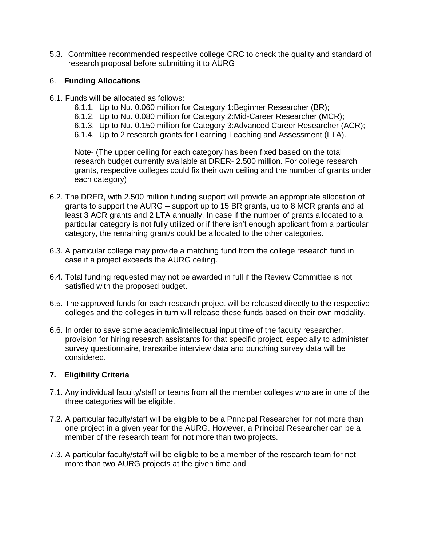5.3. Committee recommended respective college CRC to check the quality and standard of research proposal before submitting it to AURG

## 6. **Funding Allocations**

- 6.1. Funds will be allocated as follows:
	- 6.1.1. Up to Nu. 0.060 million for Category 1:Beginner Researcher (BR);
	- 6.1.2. Up to Nu. 0.080 million for Category 2:Mid-Career Researcher (MCR);
	- 6.1.3. Up to Nu. 0.150 million for Category 3:Advanced Career Researcher (ACR);
	- 6.1.4. Up to 2 research grants for Learning Teaching and Assessment (LTA).

Note- (The upper ceiling for each category has been fixed based on the total research budget currently available at DRER- 2.500 million. For college research grants, respective colleges could fix their own ceiling and the number of grants under each category)

- 6.2. The DRER, with 2.500 million funding support will provide an appropriate allocation of grants to support the AURG – support up to 15 BR grants, up to 8 MCR grants and at least 3 ACR grants and 2 LTA annually. In case if the number of grants allocated to a particular category is not fully utilized or if there isn't enough applicant from a particular category, the remaining grant/s could be allocated to the other categories.
- 6.3. A particular college may provide a matching fund from the college research fund in case if a project exceeds the AURG ceiling.
- 6.4. Total funding requested may not be awarded in full if the Review Committee is not satisfied with the proposed budget.
- 6.5. The approved funds for each research project will be released directly to the respective colleges and the colleges in turn will release these funds based on their own modality.
- 6.6. In order to save some academic/intellectual input time of the faculty researcher, provision for hiring research assistants for that specific project, especially to administer survey questionnaire, transcribe interview data and punching survey data will be considered.

# **7. Eligibility Criteria**

- 7.1. Any individual faculty/staff or teams from all the member colleges who are in one of the three categories will be eligible.
- 7.2. A particular faculty/staff will be eligible to be a Principal Researcher for not more than one project in a given year for the AURG. However, a Principal Researcher can be a member of the research team for not more than two projects.
- 7.3. A particular faculty/staff will be eligible to be a member of the research team for not more than two AURG projects at the given time and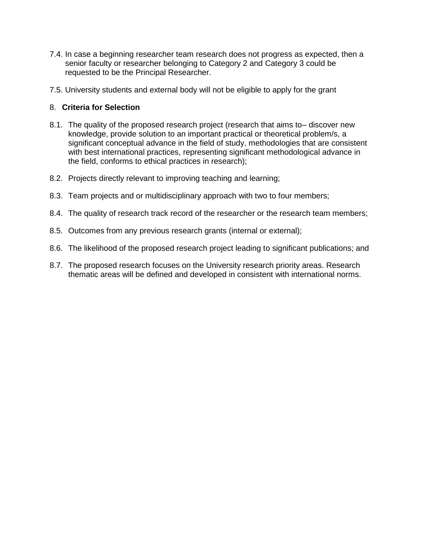- 7.4. In case a beginning researcher team research does not progress as expected, then a senior faculty or researcher belonging to Category 2 and Category 3 could be requested to be the Principal Researcher.
- 7.5. University students and external body will not be eligible to apply for the grant

## 8. **Criteria for Selection**

- 8.1. The quality of the proposed research project (research that aims to– discover new knowledge, provide solution to an important practical or theoretical problem/s, a significant conceptual advance in the field of study, methodologies that are consistent with best international practices, representing significant methodological advance in the field, conforms to ethical practices in research);
- 8.2. Projects directly relevant to improving teaching and learning;
- 8.3. Team projects and or multidisciplinary approach with two to four members;
- 8.4. The quality of research track record of the researcher or the research team members;
- 8.5. Outcomes from any previous research grants (internal or external);
- 8.6. The likelihood of the proposed research project leading to significant publications; and
- 8.7. The proposed research focuses on the University research priority areas. Research thematic areas will be defined and developed in consistent with international norms.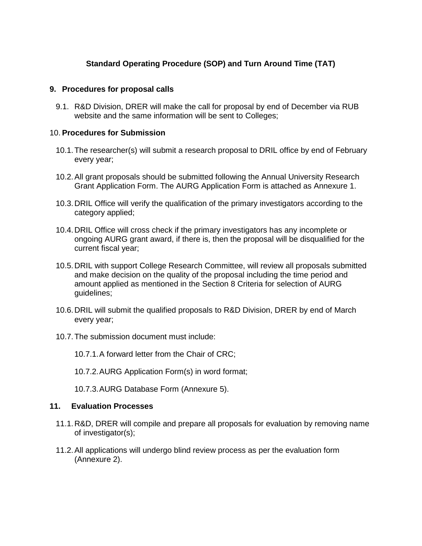# **Standard Operating Procedure (SOP) and Turn Around Time (TAT)**

### **9. Procedures for proposal calls**

9.1. R&D Division, DRER will make the call for proposal by end of December via RUB website and the same information will be sent to Colleges;

### 10. **Procedures for Submission**

- 10.1.The researcher(s) will submit a research proposal to DRIL office by end of February every year;
- 10.2.All grant proposals should be submitted following the Annual University Research Grant Application Form. The AURG Application Form is attached as Annexure 1.
- 10.3.DRIL Office will verify the qualification of the primary investigators according to the category applied;
- 10.4.DRIL Office will cross check if the primary investigators has any incomplete or ongoing AURG grant award, if there is, then the proposal will be disqualified for the current fiscal year;
- 10.5.DRIL with support College Research Committee, will review all proposals submitted and make decision on the quality of the proposal including the time period and amount applied as mentioned in the Section 8 Criteria for selection of AURG guidelines;
- 10.6.DRIL will submit the qualified proposals to R&D Division, DRER by end of March every year;
- 10.7.The submission document must include:
	- 10.7.1.A forward letter from the Chair of CRC;
	- 10.7.2.AURG Application Form(s) in word format;
	- 10.7.3.AURG Database Form (Annexure 5).

#### **11. Evaluation Processes**

- 11.1.R&D, DRER will compile and prepare all proposals for evaluation by removing name of investigator(s);
- 11.2.All applications will undergo blind review process as per the evaluation form (Annexure 2).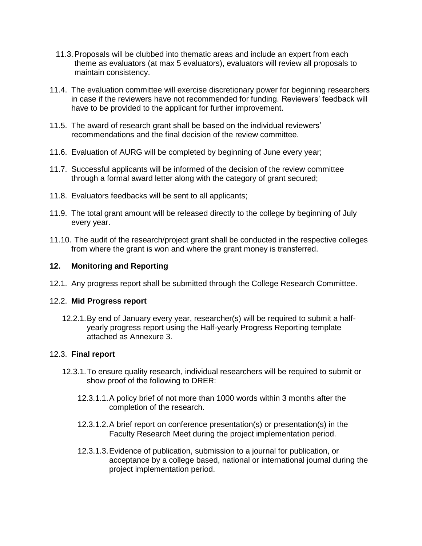- 11.3.Proposals will be clubbed into thematic areas and include an expert from each theme as evaluators (at max 5 evaluators), evaluators will review all proposals to maintain consistency.
- 11.4. The evaluation committee will exercise discretionary power for beginning researchers in case if the reviewers have not recommended for funding. Reviewers' feedback will have to be provided to the applicant for further improvement.
- 11.5. The award of research grant shall be based on the individual reviewers' recommendations and the final decision of the review committee.
- 11.6. Evaluation of AURG will be completed by beginning of June every year;
- 11.7. Successful applicants will be informed of the decision of the review committee through a formal award letter along with the category of grant secured;
- 11.8. Evaluators feedbacks will be sent to all applicants;
- 11.9. The total grant amount will be released directly to the college by beginning of July every year.
- 11.10. The audit of the research/project grant shall be conducted in the respective colleges from where the grant is won and where the grant money is transferred.

# **12. Monitoring and Reporting**

12.1. Any progress report shall be submitted through the College Research Committee.

# 12.2. **Mid Progress report**

12.2.1.By end of January every year, researcher(s) will be required to submit a halfyearly progress report using the Half-yearly Progress Reporting template attached as Annexure 3.

# 12.3. **Final report**

- 12.3.1.To ensure quality research, individual researchers will be required to submit or show proof of the following to DRER:
	- 12.3.1.1.A policy brief of not more than 1000 words within 3 months after the completion of the research.
	- 12.3.1.2.A brief report on conference presentation(s) or presentation(s) in the Faculty Research Meet during the project implementation period.
	- 12.3.1.3.Evidence of publication, submission to a journal for publication, or acceptance by a college based, national or international journal during the project implementation period.